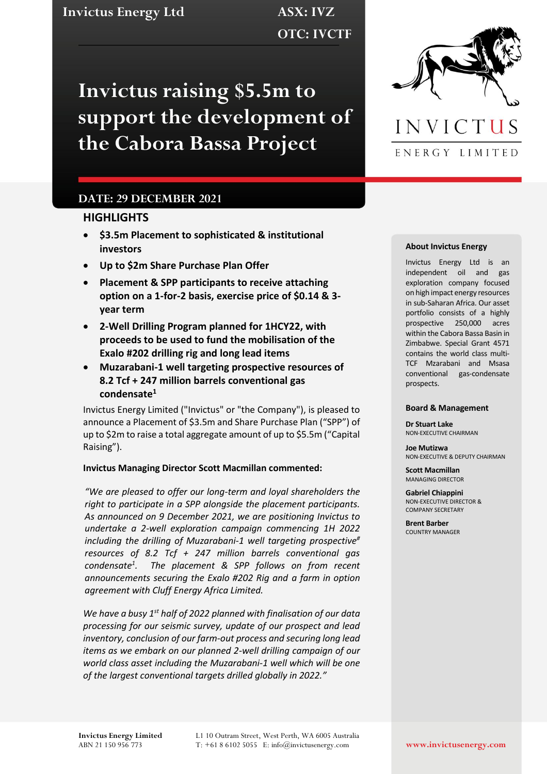**Invictus Energy Ltd ASX: IVZ**

**OTC: IVCTF**

**Invictus raising \$5.5m to support the development of the Cabora Bassa Project**

# **DATE: 29 DECEMBER 2021**

### **HIGHLIGHTS**

- **\$3.5m Placement to sophisticated & institutional investors**
- **Up to \$2m Share Purchase Plan Offer**
- **Placement & SPP participants to receive attaching option on a 1-for-2 basis, exercise price of \$0.14 & 3 year term**
- **2-Well Drilling Program planned for 1HCY22, with proceeds to be used to fund the mobilisation of the Exalo #202 drilling rig and long lead items**
- **Muzarabani-1 well targeting prospective resources of 8.2 Tcf + 247 million barrels conventional gas condensate<sup>1</sup>**

Invictus Energy Limited ("Invictus" or "the Company"), is pleased to announce a Placement of \$3.5m and Share Purchase Plan ("SPP") of up to \$2m to raise a total aggregate amount of up to \$5.5m ("Capital Raising").

### **Invictus Managing Director Scott Macmillan commented:**

*"We are pleased to offer our long-term and loyal shareholders the right to participate in a SPP alongside the placement participants. As announced on 9 December 2021, we are positioning Invictus to undertake a 2-well exploration campaign commencing 1H 2022 including the drilling of Muzarabani-1 well targeting prospective# resources of 8.2 Tcf + 247 million barrels conventional gas condensate<sup>1</sup> . The placement & SPP follows on from recent announcements securing the Exalo #202 Rig and a farm in option agreement with Cluff Energy Africa Limited.* 

*We have a busy 1st half of 2022 planned with finalisation of our data processing for our seismic survey, update of our prospect and lead inventory, conclusion of our farm-out process and securing long lead items as we embark on our planned 2-well drilling campaign of our world class asset including the Muzarabani-1 well which will be one of the largest conventional targets drilled globally in 2022."*



#### **About Invictus Energy**

Invictus Energy Ltd is an independent oil and gas exploration company focused on high impact energy resources in sub-Saharan Africa. Our asset portfolio consists of a highly prospective 250,000 acres within the Cabora Bassa Basin in Zimbabwe. Special Grant 4571 contains the world class multi-TCF Mzarabani and Msasa conventional gas-condensate prospects.

#### **Board & Management**

**Dr Stuart Lake** NON-EXECUTIVE CHAIRMAN

**Joe Mutizwa** NON-EXECUTIVE & DEPUTY CHAIRMAN

**Scott Macmillan** MANAGING DIRECTOR

**Gabriel Chiappini** NON-EXECUTIVE DIRECTOR & COMPANY SECRETARY

**Brent Barber** COUNTRY MANAGER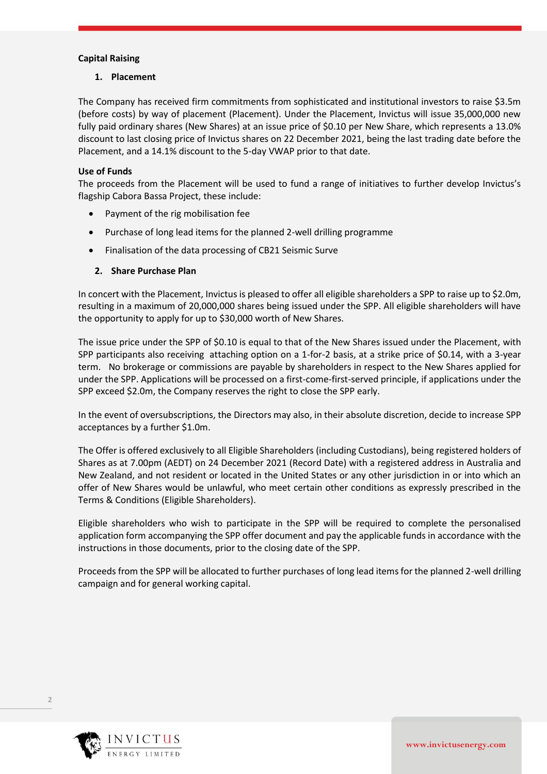# **Capital Raising**

### **1. Placement**

The Company has received firm commitments from sophisticated and institutional investors to raise \$3.5m (before costs) by way of placement (Placement). Under the Placement, Invictus will issue 35,000,000 new fully paid ordinary shares (New Shares) at an issue price of \$0.10 per New Share, which represents a 13.0% discount to last closing price of Invictus shares on 22 December 2021, being the last trading date before the Placement, and a 14.1% discount to the 5-day VWAP prior to that date.

# **Use of Funds**

The proceeds from the Placement will be used to fund a range of initiatives to further develop Invictus's flagship Cabora Bassa Project, these include:

- Payment of the rig mobilisation fee
- Purchase of long lead items for the planned 2-well drilling programme
- Finalisation of the data processing of CB21 Seismic Surve

# **2. Share Purchase Plan**

In concert with the Placement, Invictus is pleased to offer all eligible shareholders a SPP to raise up to \$2.0m, resulting in a maximum of 20,000,000 shares being issued under the SPP. All eligible shareholders will have the opportunity to apply for up to \$30,000 worth of New Shares.

The issue price under the SPP of \$0.10 is equal to that of the New Shares issued under the Placement, with SPP participants also receiving attaching option on a 1-for-2 basis, at a strike price of \$0.14, with a 3-year term. No brokerage or commissions are payable by shareholders in respect to the New Shares applied for under the SPP. Applications will be processed on a first-come-first-served principle, if applications under the SPP exceed \$2.0m, the Company reserves the right to close the SPP early.

In the event of oversubscriptions, the Directors may also, in their absolute discretion, decide to increase SPP acceptances by a further \$1.0m.

The Offer is offered exclusively to all Eligible Shareholders (including Custodians), being registered holders of Shares as at 7.00pm (AEDT) on 24 December 2021 (Record Date) with a registered address in Australia and New Zealand, and not resident or located in the United States or any other jurisdiction in or into which an offer of New Shares would be unlawful, who meet certain other conditions as expressly prescribed in the Terms & Conditions (Eligible Shareholders).

Eligible shareholders who wish to participate in the SPP will be required to complete the personalised application form accompanying the SPP offer document and pay the applicable funds in accordance with the instructions in those documents, prior to the closing date of the SPP.

Proceeds from the SPP will be allocated to further purchases of long lead items for the planned 2-well drilling campaign and for general working capital.



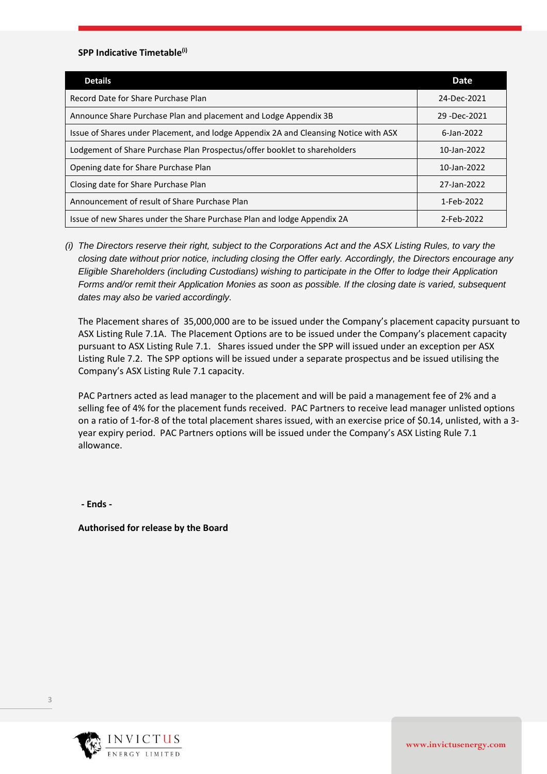#### **SPP Indicative Timetable(i)**

| <b>Details</b>                                                                       | <b>Date</b>     |
|--------------------------------------------------------------------------------------|-----------------|
| Record Date for Share Purchase Plan                                                  | 24-Dec-2021     |
| Announce Share Purchase Plan and placement and Lodge Appendix 3B                     | 29 - Dec - 2021 |
| Issue of Shares under Placement, and lodge Appendix 2A and Cleansing Notice with ASX | 6-Jan-2022      |
| Lodgement of Share Purchase Plan Prospectus/offer booklet to shareholders            | 10-Jan-2022     |
| Opening date for Share Purchase Plan                                                 | 10-Jan-2022     |
| Closing date for Share Purchase Plan                                                 | 27-Jan-2022     |
| Announcement of result of Share Purchase Plan                                        | 1-Feb-2022      |
| Issue of new Shares under the Share Purchase Plan and lodge Appendix 2A              | 2-Feb-2022      |

*(i) The Directors reserve their right, subject to the Corporations Act and the ASX Listing Rules, to vary the closing date without prior notice, including closing the Offer early. Accordingly, the Directors encourage any Eligible Shareholders (including Custodians) wishing to participate in the Offer to lodge their Application Forms and/or remit their Application Monies as soon as possible. If the closing date is varied, subsequent dates may also be varied accordingly.* 

The Placement shares of 35,000,000 are to be issued under the Company's placement capacity pursuant to ASX Listing Rule 7.1A. The Placement Options are to be issued under the Company's placement capacity pursuant to ASX Listing Rule 7.1. Shares issued under the SPP will issued under an exception per ASX Listing Rule 7.2. The SPP options will be issued under a separate prospectus and be issued utilising the Company's ASX Listing Rule 7.1 capacity.

PAC Partners acted as lead manager to the placement and will be paid a management fee of 2% and a selling fee of 4% for the placement funds received. PAC Partners to receive lead manager unlisted options on a ratio of 1-for-8 of the total placement shares issued, with an exercise price of \$0.14, unlisted, with a 3 year expiry period. PAC Partners options will be issued under the Company's ASX Listing Rule 7.1 allowance.

**- Ends -**

**Authorised for release by the Board**